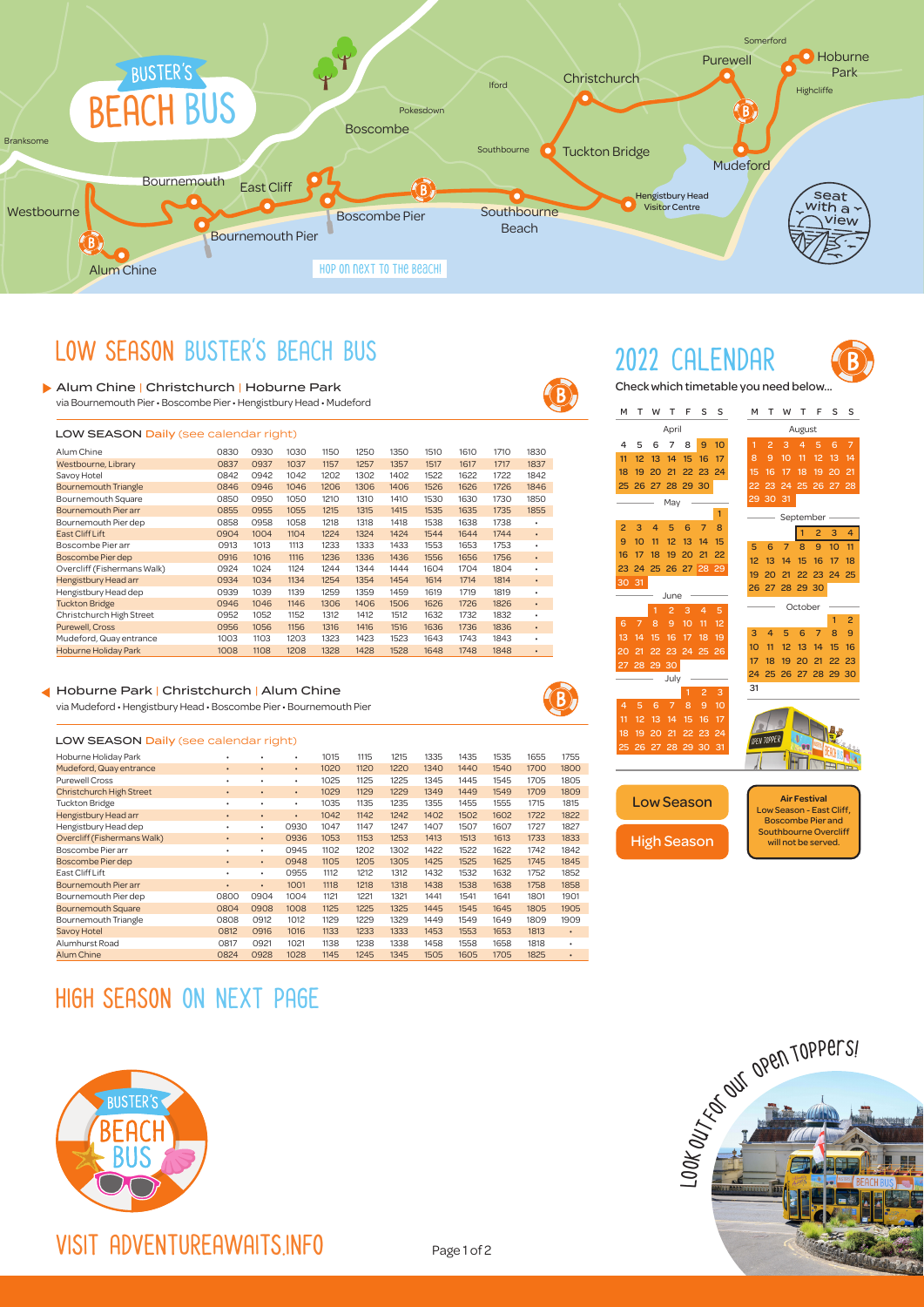

### LOW SEASON BUSTER'S BEACH BUS

### Alum Chine | Christchurch | Hoburne Park

via Bournemouth Pier • Boscombe Pier • Hengistbury Head • Mudeford

| <b>LOW SEASON Daily (see calendar right)</b> |      |      |      |      |      |      |      |      |      |           |  |  |  |  |
|----------------------------------------------|------|------|------|------|------|------|------|------|------|-----------|--|--|--|--|
| Alum Chine                                   | 0830 | 0930 | 1030 | 1150 | 1250 | 1350 | 1510 | 1610 | 1710 | 1830      |  |  |  |  |
| Westbourne, Library                          | 0837 | 0937 | 1037 | 1157 | 1257 | 1357 | 1517 | 1617 | 1717 | 1837      |  |  |  |  |
| Savoy Hotel                                  | 0842 | 0942 | 1042 | 1202 | 1302 | 1402 | 1522 | 1622 | 1722 | 1842      |  |  |  |  |
| <b>Bournemouth Triangle</b>                  | 0846 | 0946 | 1046 | 1206 | 1306 | 1406 | 1526 | 1626 | 1726 | 1846      |  |  |  |  |
| Bournemouth Square                           | 0850 | 0950 | 1050 | 1210 | 1310 | 1410 | 1530 | 1630 | 1730 | 1850      |  |  |  |  |
| Bournemouth Pier arr                         | 0855 | 0955 | 1055 | 1215 | 1315 | 1415 | 1535 | 1635 | 1735 | 1855      |  |  |  |  |
| Bournemouth Pier dep                         | 0858 | 0958 | 1058 | 1218 | 1318 | 1418 | 1538 | 1638 | 1738 | ٠         |  |  |  |  |
| East Cliff Lift                              | 0904 | 1004 | 1104 | 1224 | 1324 | 1424 | 1544 | 1644 | 1744 | $\bullet$ |  |  |  |  |
| Boscombe Pier arr                            | 0913 | 1013 | 1113 | 1233 | 1333 | 1433 | 1553 | 1653 | 1753 | ٠         |  |  |  |  |
| Boscombe Pier dep                            | 0916 | 1016 | 1116 | 1236 | 1336 | 1436 | 1556 | 1656 | 1756 | ٠         |  |  |  |  |
| Overcliff (Fishermans Walk)                  | 0924 | 1024 | 1124 | 1244 | 1344 | 1444 | 1604 | 1704 | 1804 | ٠         |  |  |  |  |
| Hengistbury Head arr                         | 0934 | 1034 | 1134 | 1254 | 1354 | 1454 | 1614 | 1714 | 1814 | $\bullet$ |  |  |  |  |
| Hengistbury Head dep                         | 0939 | 1039 | 1139 | 1259 | 1359 | 1459 | 1619 | 1719 | 1819 | ٠         |  |  |  |  |
| <b>Tuckton Bridge</b>                        | 0946 | 1046 | 1146 | 1306 | 1406 | 1506 | 1626 | 1726 | 1826 | $\bullet$ |  |  |  |  |
| Christchurch High Street                     | 0952 | 1052 | 1152 | 1312 | 1412 | 1512 | 1632 | 1732 | 1832 | ٠         |  |  |  |  |
| <b>Purewell, Cross</b>                       | 0956 | 1056 | 1156 | 1316 | 1416 | 1516 | 1636 | 1736 | 1836 | $\bullet$ |  |  |  |  |
| Mudeford, Quay entrance                      | 1003 | 1103 | 1203 | 1323 | 1423 | 1523 | 1643 | 1743 | 1843 | ٠         |  |  |  |  |
| <b>Hoburne Holiday Park</b>                  | 1008 | 1108 | 1208 | 1328 | 1428 | 1528 | 1648 | 1748 | 1848 | ٠         |  |  |  |  |

### Hoburne Park | Christchurch | Alum Chine via Mudeford • Hengistbury Head • Boscombe Pier • Bournemouth Pier

#### LOW SEASON Daily (see calendar right)

| Hoburne Holiday Park        |           | ٠         | ٠    | 1015 | 1115 | 1215 | 1335 | 1435 | 1535 | 1655 | 1755 |
|-----------------------------|-----------|-----------|------|------|------|------|------|------|------|------|------|
| Mudeford, Quay entrance     | $\bullet$ | ٠         | ٠    | 1020 | 1120 | 1220 | 1340 | 1440 | 1540 | 1700 | 1800 |
| <b>Purewell Cross</b>       | ٠         | ٠         | ٠    | 1025 | 1125 | 1225 | 1345 | 1445 | 1545 | 1705 | 1805 |
| Christchurch High Street    | ٠         | ٠         | ٠    | 1029 | 1129 | 1229 | 1349 | 1449 | 1549 | 1709 | 1809 |
| <b>Tuckton Bridge</b>       | ٠         | ٠         | ٠    | 1035 | 1135 | 1235 | 1355 | 1455 | 1555 | 1715 | 1815 |
| Hengistbury Head arr        | ٠         | ٠         | ٠    | 1042 | 1142 | 1242 | 1402 | 1502 | 1602 | 1722 | 1822 |
| Hengistbury Head dep        | ٠         | ٠         | 0930 | 1047 | 1147 | 1247 | 1407 | 1507 | 1607 | 1727 | 1827 |
| Overcliff (Fishermans Walk) | ٠         | $\bullet$ | 0936 | 1053 | 1153 | 1253 | 1413 | 1513 | 1613 | 1733 | 1833 |
| Boscombe Pier arr           | ٠         | ٠         | 0945 | 1102 | 1202 | 1302 | 1422 | 1522 | 1622 | 1742 | 1842 |
| Boscombe Pier dep           | ٠         | ٠         | 0948 | 1105 | 1205 | 1305 | 1425 | 1525 | 1625 | 1745 | 1845 |
| East Cliff Lift             | ٠         | ٠         | 0955 | 1112 | 1212 | 1312 | 1432 | 1532 | 1632 | 1752 | 1852 |
| Bournemouth Pier arr        | ٠         | ٠         | 1001 | 1118 | 1218 | 1318 | 1438 | 1538 | 1638 | 1758 | 1858 |
| Bournemouth Pier dep        | 0800      | 0904      | 1004 | 1121 | 1221 | 1321 | 1441 | 1541 | 1641 | 1801 | 1901 |
| <b>Bournemouth Square</b>   | 0804      | 0908      | 1008 | 1125 | 1225 | 1325 | 1445 | 1545 | 1645 | 1805 | 1905 |
| Bournemouth Triangle        | 0808      | 0912      | 1012 | 1129 | 1229 | 1329 | 1449 | 1549 | 1649 | 1809 | 1909 |
| <b>Savoy Hotel</b>          | 0812      | 0916      | 1016 | 1133 | 1233 | 1333 | 1453 | 1553 | 1653 | 1813 | ٠    |
| Alumhurst Road              | 0817      | 0921      | 1021 | 1138 | 1238 | 1338 | 1458 | 1558 | 1658 | 1818 | ٠    |
| <b>Alum Chine</b>           | 0824      | 0928      | 1028 | 1145 | 1245 | 1345 | 1505 | 1605 | 1705 | 1825 |      |

## HIGH SEASON ON NEXT PAGE



VISIT ADVENTUREAWAITS.INFO



 $\mathbf{B}$ 



Check which timetable you need below...

| М              | т                  | w      | т                   | F                 | S              | S               | м  | т              | w  | т                   | F              | S                            | S              |  |  |  |  |
|----------------|--------------------|--------|---------------------|-------------------|----------------|-----------------|----|----------------|----|---------------------|----------------|------------------------------|----------------|--|--|--|--|
|                |                    |        | April               |                   |                |                 |    |                |    | August              |                |                              |                |  |  |  |  |
| 4              | 5                  | 6      | 7                   | 8                 | 9              | 10              | 1  | $\overline{2}$ | 3  | $\overline{4}$      | 5              | 6                            | $\overline{7}$ |  |  |  |  |
| 11             | 12                 | 13     | 14                  | 15                | 16             | 17              | 8  | 9              | 10 | 11                  | 12             | 13                           | 14             |  |  |  |  |
| 18             | 19                 | 20     | 21                  | 22                | 23             | 24              | 15 | 16             | 17 | $\overline{18}$     | 19             | 20                           | 21             |  |  |  |  |
| 25             | 26                 | 27     | 28                  | 29                | 30             |                 | 22 | 23             | 24 | 25                  | 26             | 27                           | 28             |  |  |  |  |
|                |                    |        | May                 |                   |                |                 | 29 | 30<br>31       |    |                     |                |                              |                |  |  |  |  |
|                |                    |        |                     |                   |                | 1               |    | September      |    |                     |                |                              |                |  |  |  |  |
| $\overline{2}$ | 3                  | 4      | 5                   | 6                 | 7              | 8               |    |                |    | 1                   | $\overline{2}$ | 3                            | 4              |  |  |  |  |
| 9              | 10                 | 11     | 12                  | 13                | 14             | 15              | 5  | 6              | 7  | 8                   | 9              | 10                           | 11             |  |  |  |  |
| 16             | 17                 | 18     | 19                  | 20                | 21             | 22              | 12 | 13             | 14 | 15                  | 16             | 17                           | 18             |  |  |  |  |
| 23             | 24                 | 25     | 26                  | 27                | 28             | $\overline{29}$ | 19 | 20             | 21 | 22                  | 23             | 24                           | 25             |  |  |  |  |
| 30             | 31                 |        |                     |                   |                |                 | 26 | 27             | 28 | 29                  | 30             |                              |                |  |  |  |  |
|                |                    |        | June                |                   |                |                 |    |                |    | October             |                |                              |                |  |  |  |  |
| 6              | 7                  | 1<br>8 | $\overline{c}$<br>9 | 3<br>10           | 4<br>11        | 5<br>12         |    |                |    |                     |                | 1                            | $\overline{2}$ |  |  |  |  |
| 13             | 14                 | 15     | 16                  | 17                | 18             | 19              | 3  | 4              | 5  | 6                   | 7              | 8                            | 9              |  |  |  |  |
| 20             | 21                 | 22     | 23                  | 24                | 25             | 26              | 10 | 11             | 12 | 13                  | 14             | 15                           | 16             |  |  |  |  |
| 27             | 28 29              |        | 30                  |                   |                |                 | 17 | 18             | 19 | 20                  | 21             | 22                           | 23             |  |  |  |  |
|                |                    |        | July                |                   |                |                 | 24 | 25             | 26 | 27                  | 28             | 29                           | 30             |  |  |  |  |
|                |                    |        |                     | 1                 | $\overline{c}$ | 3               | 31 |                |    |                     |                |                              |                |  |  |  |  |
| 4              | 5                  | 6      | 7                   | 8                 | 9              | 10              |    |                |    |                     |                |                              |                |  |  |  |  |
| 11             | 12                 | 13     | 14                  | 15                | 16             | 17              |    |                |    |                     |                |                              |                |  |  |  |  |
| 18             | 19                 | 20     | 21                  | 22                | 23             | 24              |    | OPEN TOPPER    |    |                     |                |                              |                |  |  |  |  |
| 25             | 26                 | 27     | 28                  | 29                | 30             | 31              |    |                |    |                     |                |                              |                |  |  |  |  |
|                |                    |        |                     |                   |                |                 |    |                |    |                     |                |                              |                |  |  |  |  |
|                |                    |        |                     |                   |                |                 |    |                |    |                     |                |                              |                |  |  |  |  |
|                |                    |        |                     |                   |                |                 |    |                |    | <b>Air Festival</b> |                |                              |                |  |  |  |  |
|                |                    |        |                     | <b>Low Season</b> |                |                 |    |                |    |                     |                | Low Season - East Cliff,     |                |  |  |  |  |
|                |                    |        |                     |                   |                |                 |    |                |    |                     |                | <b>Boscombe Pier and</b>     |                |  |  |  |  |
|                | <b>High Season</b> |        |                     |                   |                |                 |    |                |    | will not be served. |                | <b>Southbourne Overcliff</b> |                |  |  |  |  |
|                |                    |        |                     |                   |                |                 |    |                |    |                     |                |                              |                |  |  |  |  |



Page 1 of 2